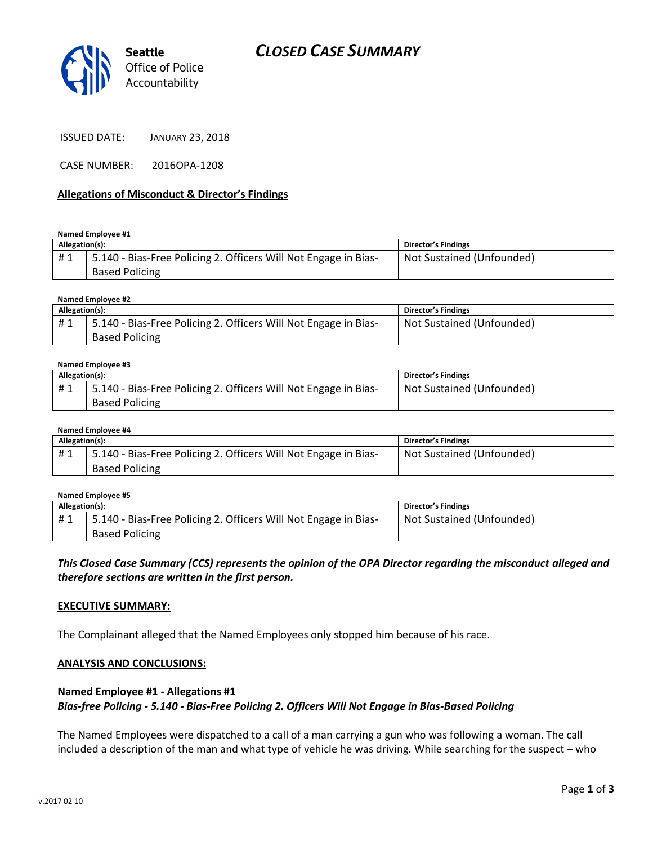



ISSUED DATE: JANUARY 23, 2018

CASE NUMBER: 2016OPA-1208

## **Allegations of Misconduct & Director's Findings**

#### **Named Employee #1**

| Allegation(s): |                                                                 | Director's Findings       |
|----------------|-----------------------------------------------------------------|---------------------------|
| #1             | 5.140 - Bias-Free Policing 2. Officers Will Not Engage in Bias- | Not Sustained (Unfounded) |
|                | <b>Based Policing</b>                                           |                           |

## **Named Employee #2**

| Allegation(s): |                                                                 | Director's Findings       |
|----------------|-----------------------------------------------------------------|---------------------------|
| #1             | 5.140 - Bias-Free Policing 2. Officers Will Not Engage in Bias- | Not Sustained (Unfounded) |
|                | <b>Based Policing</b>                                           |                           |

#### **Named Employee #3**

| Allegation(s): |                                                                              | Director's Findings       |
|----------------|------------------------------------------------------------------------------|---------------------------|
| #1             | <sup>1</sup> 5.140 - Bias-Free Policing 2. Officers Will Not Engage in Bias- | Not Sustained (Unfounded) |
|                | <b>Based Policing</b>                                                        |                           |

#### **Named Employee #4**

| Allegation(s): |                                                                 | Director's Findings       |
|----------------|-----------------------------------------------------------------|---------------------------|
| #1             | 5.140 - Bias-Free Policing 2. Officers Will Not Engage in Bias- | Not Sustained (Unfounded) |
|                | <b>Based Policing</b>                                           |                           |

#### **Named Employee #5 Allegation(s): Director's Findings** # 1 | 5.140 - Bias-Free Policing 2. Officers Will Not Engage in Bias-Based Policing Not Sustained (Unfounded)

*This Closed Case Summary (CCS) represents the opinion of the OPA Director regarding the misconduct alleged and therefore sections are written in the first person.* 

## **EXECUTIVE SUMMARY:**

The Complainant alleged that the Named Employees only stopped him because of his race.

## **ANALYSIS AND CONCLUSIONS:**

# **Named Employee #1 - Allegations #1** *Bias-free Policing - 5.140 - Bias-Free Policing 2. Officers Will Not Engage in Bias-Based Policing*

The Named Employees were dispatched to a call of a man carrying a gun who was following a woman. The call included a description of the man and what type of vehicle he was driving. While searching for the suspect – who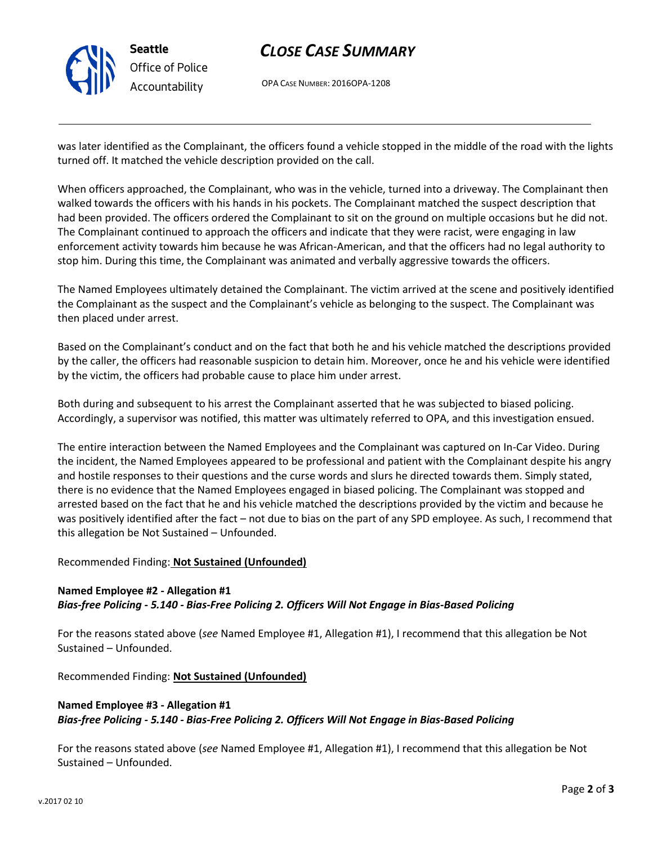

# *CLOSE CASE SUMMARY*

OPA CASE NUMBER: 2016OPA-1208

was later identified as the Complainant, the officers found a vehicle stopped in the middle of the road with the lights turned off. It matched the vehicle description provided on the call.

When officers approached, the Complainant, who was in the vehicle, turned into a driveway. The Complainant then walked towards the officers with his hands in his pockets. The Complainant matched the suspect description that had been provided. The officers ordered the Complainant to sit on the ground on multiple occasions but he did not. The Complainant continued to approach the officers and indicate that they were racist, were engaging in law enforcement activity towards him because he was African-American, and that the officers had no legal authority to stop him. During this time, the Complainant was animated and verbally aggressive towards the officers.

The Named Employees ultimately detained the Complainant. The victim arrived at the scene and positively identified the Complainant as the suspect and the Complainant's vehicle as belonging to the suspect. The Complainant was then placed under arrest.

Based on the Complainant's conduct and on the fact that both he and his vehicle matched the descriptions provided by the caller, the officers had reasonable suspicion to detain him. Moreover, once he and his vehicle were identified by the victim, the officers had probable cause to place him under arrest.

Both during and subsequent to his arrest the Complainant asserted that he was subjected to biased policing. Accordingly, a supervisor was notified, this matter was ultimately referred to OPA, and this investigation ensued.

The entire interaction between the Named Employees and the Complainant was captured on In-Car Video. During the incident, the Named Employees appeared to be professional and patient with the Complainant despite his angry and hostile responses to their questions and the curse words and slurs he directed towards them. Simply stated, there is no evidence that the Named Employees engaged in biased policing. The Complainant was stopped and arrested based on the fact that he and his vehicle matched the descriptions provided by the victim and because he was positively identified after the fact – not due to bias on the part of any SPD employee. As such, I recommend that this allegation be Not Sustained – Unfounded.

## Recommended Finding: **Not Sustained (Unfounded)**

# **Named Employee #2 - Allegation #1** *Bias-free Policing - 5.140 - Bias-Free Policing 2. Officers Will Not Engage in Bias-Based Policing*

For the reasons stated above (*see* Named Employee #1, Allegation #1), I recommend that this allegation be Not Sustained – Unfounded.

Recommended Finding: **Not Sustained (Unfounded)**

# **Named Employee #3 - Allegation #1** *Bias-free Policing - 5.140 - Bias-Free Policing 2. Officers Will Not Engage in Bias-Based Policing*

For the reasons stated above (*see* Named Employee #1, Allegation #1), I recommend that this allegation be Not Sustained – Unfounded.